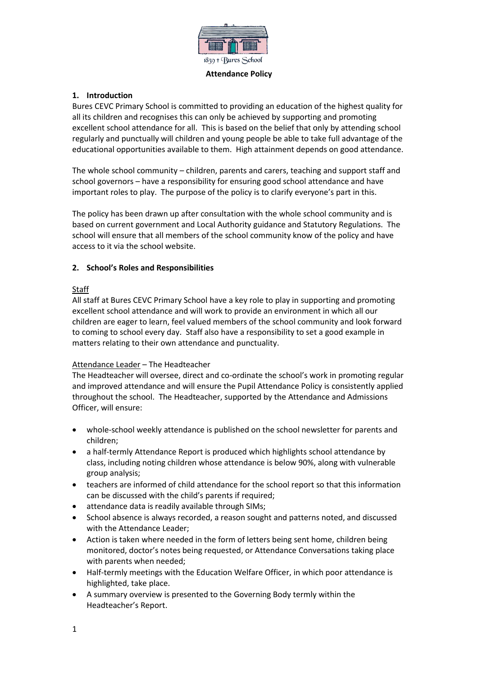

### **Attendance Policy**

## **1. Introduction**

Bures CEVC Primary School is committed to providing an education of the highest quality for all its children and recognises this can only be achieved by supporting and promoting excellent school attendance for all. This is based on the belief that only by attending school regularly and punctually will children and young people be able to take full advantage of the educational opportunities available to them. High attainment depends on good attendance.

The whole school community – children, parents and carers, teaching and support staff and school governors – have a responsibility for ensuring good school attendance and have important roles to play. The purpose of the policy is to clarify everyone's part in this.

The policy has been drawn up after consultation with the whole school community and is based on current government and Local Authority guidance and Statutory Regulations. The school will ensure that all members of the school community know of the policy and have access to it via the school website.

## **2. School's Roles and Responsibilities**

## Staff

All staff at Bures CEVC Primary School have a key role to play in supporting and promoting excellent school attendance and will work to provide an environment in which all our children are eager to learn, feel valued members of the school community and look forward to coming to school every day. Staff also have a responsibility to set a good example in matters relating to their own attendance and punctuality.

### Attendance Leader – The Headteacher

The Headteacher will oversee, direct and co-ordinate the school's work in promoting regular and improved attendance and will ensure the Pupil Attendance Policy is consistently applied throughout the school. The Headteacher, supported by the Attendance and Admissions Officer, will ensure:

- whole-school weekly attendance is published on the school newsletter for parents and children;
- a half-termly Attendance Report is produced which highlights school attendance by class, including noting children whose attendance is below 90%, along with vulnerable group analysis;
- teachers are informed of child attendance for the school report so that this information can be discussed with the child's parents if required;
- attendance data is readily available through SIMs;
- School absence is always recorded, a reason sought and patterns noted, and discussed with the Attendance Leader;
- Action is taken where needed in the form of letters being sent home, children being monitored, doctor's notes being requested, or Attendance Conversations taking place with parents when needed;
- Half-termly meetings with the Education Welfare Officer, in which poor attendance is highlighted, take place.
- A summary overview is presented to the Governing Body termly within the Headteacher's Report.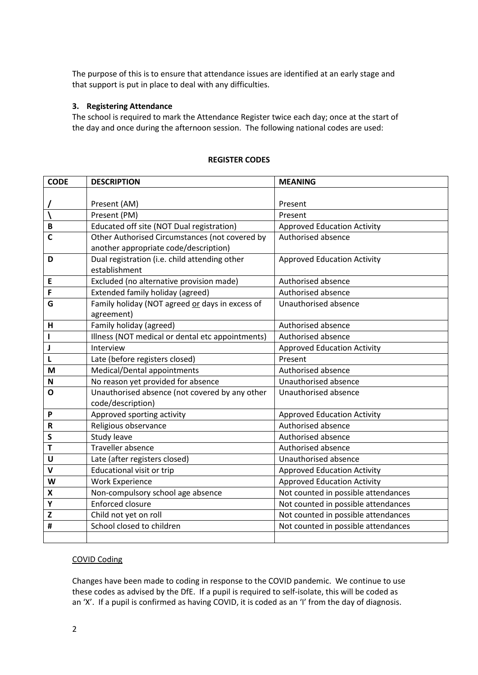The purpose of this is to ensure that attendance issues are identified at an early stage and that support is put in place to deal with any difficulties.

### **3. Registering Attendance**

The school is required to mark the Attendance Register twice each day; once at the start of the day and once during the afternoon session. The following national codes are used:

| <b>CODE</b>        | <b>DESCRIPTION</b>                               | <b>MEANING</b>                      |
|--------------------|--------------------------------------------------|-------------------------------------|
|                    |                                                  |                                     |
|                    | Present (AM)                                     | Present                             |
|                    | Present (PM)                                     | Present                             |
| $\mathsf B$        | Educated off site (NOT Dual registration)        | <b>Approved Education Activity</b>  |
| $\mathbf c$        | Other Authorised Circumstances (not covered by   | Authorised absence                  |
|                    | another appropriate code/description)            |                                     |
| D                  | Dual registration (i.e. child attending other    | <b>Approved Education Activity</b>  |
|                    | establishment                                    |                                     |
| E                  | Excluded (no alternative provision made)         | Authorised absence                  |
| F                  | Extended family holiday (agreed)                 | Authorised absence                  |
| G                  | Family holiday (NOT agreed or days in excess of  | Unauthorised absence                |
|                    | agreement)                                       |                                     |
| н                  | Family holiday (agreed)                          | Authorised absence                  |
| $\mathbf{I}$       | Illness (NOT medical or dental etc appointments) | Authorised absence                  |
| $\mathbf J$        | Interview                                        | <b>Approved Education Activity</b>  |
| L                  | Late (before registers closed)                   | Present                             |
| M                  | Medical/Dental appointments                      | Authorised absence                  |
| N                  | No reason yet provided for absence               | Unauthorised absence                |
| $\mathbf{o}$       | Unauthorised absence (not covered by any other   | Unauthorised absence                |
|                    | code/description)                                |                                     |
| P                  | Approved sporting activity                       | <b>Approved Education Activity</b>  |
| $\mathsf R$        | Religious observance                             | Authorised absence                  |
| $\mathsf S$        | Study leave                                      | Authorised absence                  |
| $\mathbf T$        | Traveller absence                                | Authorised absence                  |
| U                  | Late (after registers closed)                    | Unauthorised absence                |
| $\mathbf v$        | Educational visit or trip                        | <b>Approved Education Activity</b>  |
| W                  | <b>Work Experience</b>                           | <b>Approved Education Activity</b>  |
| $\pmb{\mathsf{X}}$ | Non-compulsory school age absence                | Not counted in possible attendances |
| Υ                  | <b>Enforced closure</b>                          | Not counted in possible attendances |
| $\mathbf{Z}$       | Child not yet on roll                            | Not counted in possible attendances |
| #                  | School closed to children                        | Not counted in possible attendances |
|                    |                                                  |                                     |

#### **REGISTER CODES**

#### COVID Coding

Changes have been made to coding in response to the COVID pandemic. We continue to use these codes as advised by the DfE. If a pupil is required to self-isolate, this will be coded as an 'X'. If a pupil is confirmed as having COVID, it is coded as an 'I' from the day of diagnosis.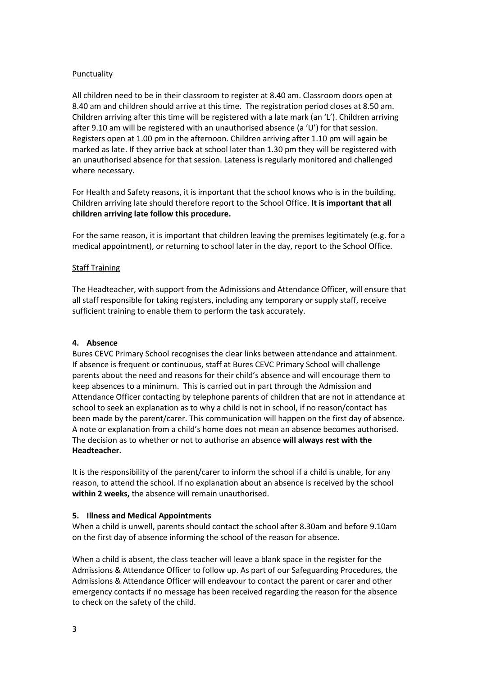## **Punctuality**

All children need to be in their classroom to register at 8.40 am. Classroom doors open at 8.40 am and children should arrive at this time. The registration period closes at 8.50 am. Children arriving after this time will be registered with a late mark (an 'L'). Children arriving after 9.10 am will be registered with an unauthorised absence (a 'U') for that session. Registers open at 1.00 pm in the afternoon. Children arriving after 1.10 pm will again be marked as late. If they arrive back at school later than 1.30 pm they will be registered with an unauthorised absence for that session. Lateness is regularly monitored and challenged where necessary.

For Health and Safety reasons, it is important that the school knows who is in the building. Children arriving late should therefore report to the School Office. **It is important that all children arriving late follow this procedure.**

For the same reason, it is important that children leaving the premises legitimately (e.g. for a medical appointment), or returning to school later in the day, report to the School Office.

### Staff Training

The Headteacher, with support from the Admissions and Attendance Officer, will ensure that all staff responsible for taking registers, including any temporary or supply staff, receive sufficient training to enable them to perform the task accurately.

## **4. Absence**

Bures CEVC Primary School recognises the clear links between attendance and attainment. If absence is frequent or continuous, staff at Bures CEVC Primary School will challenge parents about the need and reasons for their child's absence and will encourage them to keep absences to a minimum. This is carried out in part through the Admission and Attendance Officer contacting by telephone parents of children that are not in attendance at school to seek an explanation as to why a child is not in school, if no reason/contact has been made by the parent/carer. This communication will happen on the first day of absence. A note or explanation from a child's home does not mean an absence becomes authorised. The decision as to whether or not to authorise an absence **will always rest with the Headteacher.**

It is the responsibility of the parent/carer to inform the school if a child is unable, for any reason, to attend the school. If no explanation about an absence is received by the school **within 2 weeks,** the absence will remain unauthorised.

### **5. Illness and Medical Appointments**

When a child is unwell, parents should contact the school after 8.30am and before 9.10am on the first day of absence informing the school of the reason for absence.

When a child is absent, the class teacher will leave a blank space in the register for the Admissions & Attendance Officer to follow up. As part of our Safeguarding Procedures, the Admissions & Attendance Officer will endeavour to contact the parent or carer and other emergency contacts if no message has been received regarding the reason for the absence to check on the safety of the child.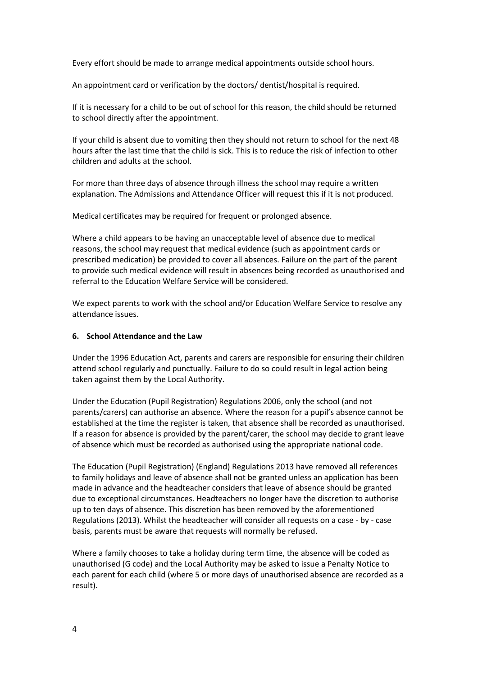Every effort should be made to arrange medical appointments outside school hours.

An appointment card or verification by the doctors/ dentist/hospital is required.

If it is necessary for a child to be out of school for this reason, the child should be returned to school directly after the appointment.

If your child is absent due to vomiting then they should not return to school for the next 48 hours after the last time that the child is sick. This is to reduce the risk of infection to other children and adults at the school.

For more than three days of absence through illness the school may require a written explanation. The Admissions and Attendance Officer will request this if it is not produced.

Medical certificates may be required for frequent or prolonged absence.

Where a child appears to be having an unacceptable level of absence due to medical reasons, the school may request that medical evidence (such as appointment cards or prescribed medication) be provided to cover all absences. Failure on the part of the parent to provide such medical evidence will result in absences being recorded as unauthorised and referral to the Education Welfare Service will be considered.

We expect parents to work with the school and/or Education Welfare Service to resolve any attendance issues.

#### **6. School Attendance and the Law**

Under the 1996 Education Act, parents and carers are responsible for ensuring their children attend school regularly and punctually. Failure to do so could result in legal action being taken against them by the Local Authority.

Under the Education (Pupil Registration) Regulations 2006, only the school (and not parents/carers) can authorise an absence. Where the reason for a pupil's absence cannot be established at the time the register is taken, that absence shall be recorded as unauthorised. If a reason for absence is provided by the parent/carer, the school may decide to grant leave of absence which must be recorded as authorised using the appropriate national code.

The Education (Pupil Registration) (England) Regulations 2013 have removed all references to family holidays and leave of absence shall not be granted unless an application has been made in advance and the headteacher considers that leave of absence should be granted due to exceptional circumstances. Headteachers no longer have the discretion to authorise up to ten days of absence. This discretion has been removed by the aforementioned Regulations (2013). Whilst the headteacher will consider all requests on a case - by - case basis, parents must be aware that requests will normally be refused.

Where a family chooses to take a holiday during term time, the absence will be coded as unauthorised (G code) and the Local Authority may be asked to issue a Penalty Notice to each parent for each child (where 5 or more days of unauthorised absence are recorded as a result).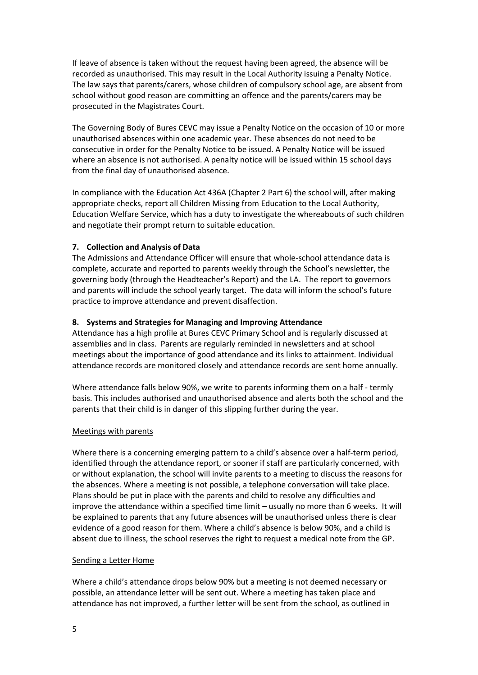If leave of absence is taken without the request having been agreed, the absence will be recorded as unauthorised. This may result in the Local Authority issuing a Penalty Notice. The law says that parents/carers, whose children of compulsory school age, are absent from school without good reason are committing an offence and the parents/carers may be prosecuted in the Magistrates Court.

The Governing Body of Bures CEVC may issue a Penalty Notice on the occasion of 10 or more unauthorised absences within one academic year. These absences do not need to be consecutive in order for the Penalty Notice to be issued. A Penalty Notice will be issued where an absence is not authorised. A penalty notice will be issued within 15 school days from the final day of unauthorised absence.

In compliance with the Education Act 436A (Chapter 2 Part 6) the school will, after making appropriate checks, report all Children Missing from Education to the Local Authority, Education Welfare Service, which has a duty to investigate the whereabouts of such children and negotiate their prompt return to suitable education.

### **7. Collection and Analysis of Data**

The Admissions and Attendance Officer will ensure that whole-school attendance data is complete, accurate and reported to parents weekly through the School's newsletter, the governing body (through the Headteacher's Report) and the LA. The report to governors and parents will include the school yearly target. The data will inform the school's future practice to improve attendance and prevent disaffection.

## **8. Systems and Strategies for Managing and Improving Attendance**

Attendance has a high profile at Bures CEVC Primary School and is regularly discussed at assemblies and in class. Parents are regularly reminded in newsletters and at school meetings about the importance of good attendance and its links to attainment. Individual attendance records are monitored closely and attendance records are sent home annually.

Where attendance falls below 90%, we write to parents informing them on a half - termly basis. This includes authorised and unauthorised absence and alerts both the school and the parents that their child is in danger of this slipping further during the year.

### Meetings with parents

Where there is a concerning emerging pattern to a child's absence over a half-term period, identified through the attendance report, or sooner if staff are particularly concerned, with or without explanation, the school will invite parents to a meeting to discuss the reasons for the absences. Where a meeting is not possible, a telephone conversation will take place. Plans should be put in place with the parents and child to resolve any difficulties and improve the attendance within a specified time limit – usually no more than 6 weeks. It will be explained to parents that any future absences will be unauthorised unless there is clear evidence of a good reason for them. Where a child's absence is below 90%, and a child is absent due to illness, the school reserves the right to request a medical note from the GP.

### Sending a Letter Home

Where a child's attendance drops below 90% but a meeting is not deemed necessary or possible, an attendance letter will be sent out. Where a meeting has taken place and attendance has not improved, a further letter will be sent from the school, as outlined in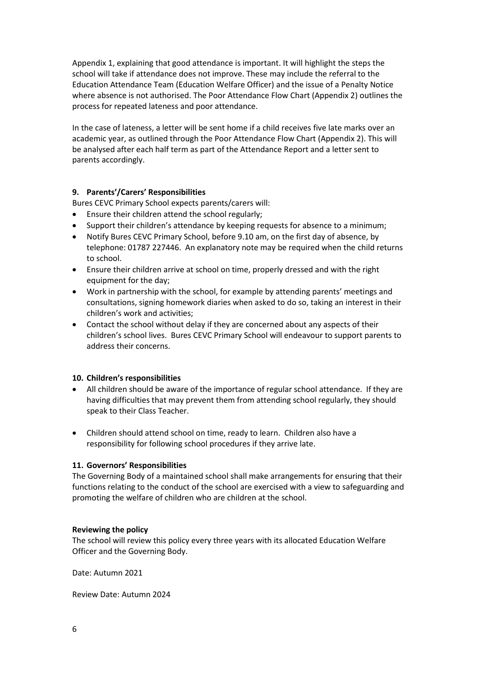Appendix 1, explaining that good attendance is important. It will highlight the steps the school will take if attendance does not improve. These may include the referral to the Education Attendance Team (Education Welfare Officer) and the issue of a Penalty Notice where absence is not authorised. The Poor Attendance Flow Chart (Appendix 2) outlines the process for repeated lateness and poor attendance.

In the case of lateness, a letter will be sent home if a child receives five late marks over an academic year, as outlined through the Poor Attendance Flow Chart (Appendix 2). This will be analysed after each half term as part of the Attendance Report and a letter sent to parents accordingly.

# **9. Parents'/Carers' Responsibilities**

Bures CEVC Primary School expects parents/carers will:

- Ensure their children attend the school regularly;
- Support their children's attendance by keeping requests for absence to a minimum;
- Notify Bures CEVC Primary School, before 9.10 am, on the first day of absence, by telephone: 01787 227446. An explanatory note may be required when the child returns to school.
- Ensure their children arrive at school on time, properly dressed and with the right equipment for the day;
- Work in partnership with the school, for example by attending parents' meetings and consultations, signing homework diaries when asked to do so, taking an interest in their children's work and activities;
- Contact the school without delay if they are concerned about any aspects of their children's school lives. Bures CEVC Primary School will endeavour to support parents to address their concerns.

### **10. Children's responsibilities**

- All children should be aware of the importance of regular school attendance. If they are having difficulties that may prevent them from attending school regularly, they should speak to their Class Teacher.
- Children should attend school on time, ready to learn. Children also have a responsibility for following school procedures if they arrive late.

### **11. Governors' Responsibilities**

The Governing Body of a maintained school shall make arrangements for ensuring that their functions relating to the conduct of the school are exercised with a view to safeguarding and promoting the welfare of children who are children at the school.

### **Reviewing the policy**

The school will review this policy every three years with its allocated Education Welfare Officer and the Governing Body.

Date: Autumn 2021

Review Date: Autumn 2024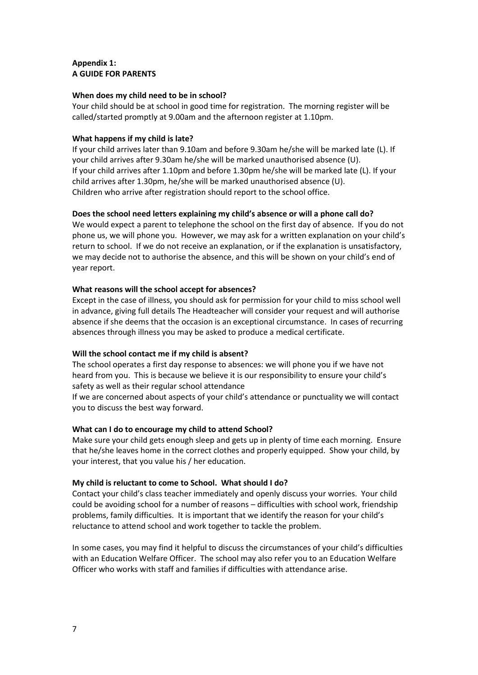## **Appendix 1: A GUIDE FOR PARENTS**

## **When does my child need to be in school?**

Your child should be at school in good time for registration. The morning register will be called/started promptly at 9.00am and the afternoon register at 1.10pm.

## **What happens if my child is late?**

If your child arrives later than 9.10am and before 9.30am he/she will be marked late (L). If your child arrives after 9.30am he/she will be marked unauthorised absence (U). If your child arrives after 1.10pm and before 1.30pm he/she will be marked late (L). If your child arrives after 1.30pm, he/she will be marked unauthorised absence (U). Children who arrive after registration should report to the school office.

## **Does the school need letters explaining my child's absence or will a phone call do?**

We would expect a parent to telephone the school on the first day of absence. If you do not phone us, we will phone you. However, we may ask for a written explanation on your child's return to school. If we do not receive an explanation, or if the explanation is unsatisfactory, we may decide not to authorise the absence, and this will be shown on your child's end of year report.

## **What reasons will the school accept for absences?**

Except in the case of illness, you should ask for permission for your child to miss school well in advance, giving full details The Headteacher will consider your request and will authorise absence if she deems that the occasion is an exceptional circumstance. In cases of recurring absences through illness you may be asked to produce a medical certificate.

# **Will the school contact me if my child is absent?**

The school operates a first day response to absences: we will phone you if we have not heard from you. This is because we believe it is our responsibility to ensure your child's safety as well as their regular school attendance

If we are concerned about aspects of your child's attendance or punctuality we will contact you to discuss the best way forward.

# **What can I do to encourage my child to attend School?**

Make sure your child gets enough sleep and gets up in plenty of time each morning. Ensure that he/she leaves home in the correct clothes and properly equipped. Show your child, by your interest, that you value his / her education.

### **My child is reluctant to come to School. What should I do?**

Contact your child's class teacher immediately and openly discuss your worries. Your child could be avoiding school for a number of reasons – difficulties with school work, friendship problems, family difficulties. It is important that we identify the reason for your child's reluctance to attend school and work together to tackle the problem.

In some cases, you may find it helpful to discuss the circumstances of your child's difficulties with an Education Welfare Officer. The school may also refer you to an Education Welfare Officer who works with staff and families if difficulties with attendance arise.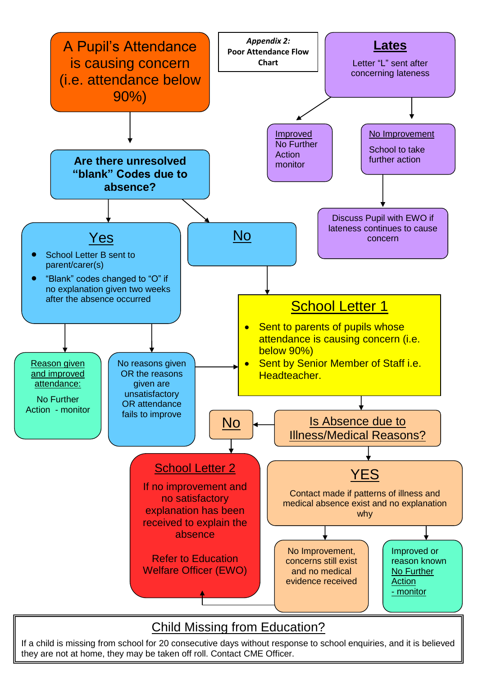

If a child is missing from school for 20 consecutive days without response to school enquiries, and it is believed they are not at home, they may be taken off roll. Contact CME Officer.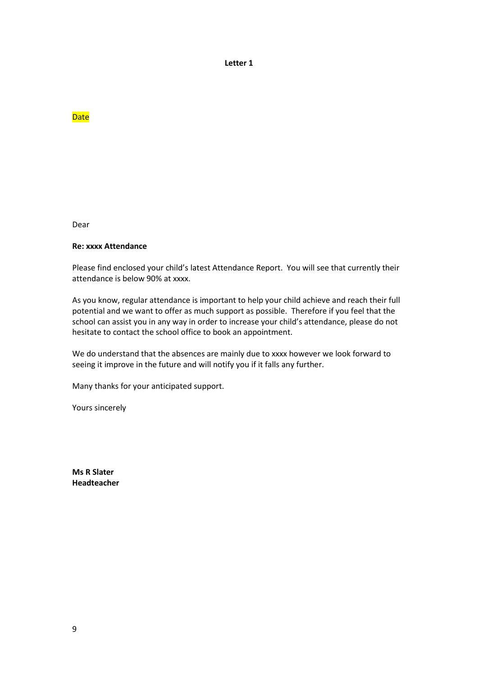**Letter 1**

**Date** 

Dear

#### **Re: xxxx Attendance**

Please find enclosed your child's latest Attendance Report. You will see that currently their attendance is below 90% at xxxx.

As you know, regular attendance is important to help your child achieve and reach their full potential and we want to offer as much support as possible. Therefore if you feel that the school can assist you in any way in order to increase your child's attendance, please do not hesitate to contact the school office to book an appointment.

We do understand that the absences are mainly due to xxxx however we look forward to seeing it improve in the future and will notify you if it falls any further.

Many thanks for your anticipated support.

Yours sincerely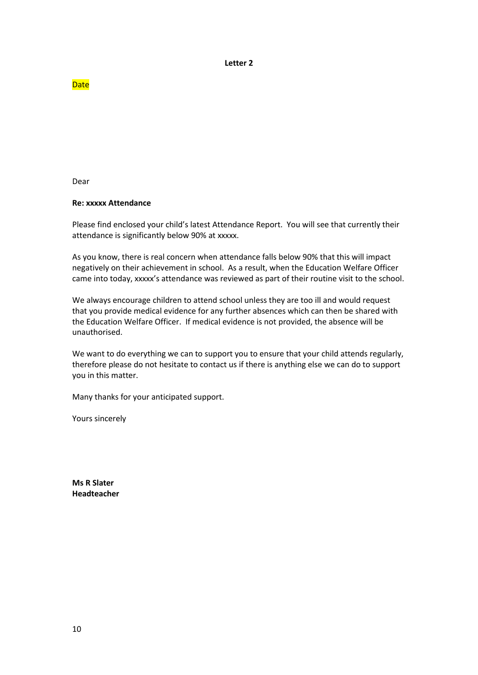**Letter 2**

**Date** 

Dear

## **Re: xxxxx Attendance**

Please find enclosed your child's latest Attendance Report. You will see that currently their attendance is significantly below 90% at xxxxx.

As you know, there is real concern when attendance falls below 90% that this will impact negatively on their achievement in school. As a result, when the Education Welfare Officer came into today, xxxxx's attendance was reviewed as part of their routine visit to the school.

We always encourage children to attend school unless they are too ill and would request that you provide medical evidence for any further absences which can then be shared with the Education Welfare Officer. If medical evidence is not provided, the absence will be unauthorised.

We want to do everything we can to support you to ensure that your child attends regularly, therefore please do not hesitate to contact us if there is anything else we can do to support you in this matter.

Many thanks for your anticipated support.

Yours sincerely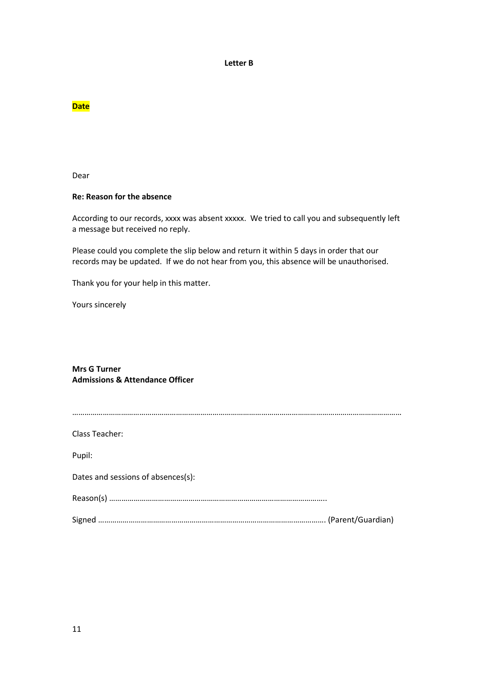#### **Letter B**

## **Date**

Dear

### **Re: Reason for the absence**

According to our records, xxxx was absent xxxxx. We tried to call you and subsequently left a message but received no reply.

Please could you complete the slip below and return it within 5 days in order that our records may be updated. If we do not hear from you, this absence will be unauthorised.

Thank you for your help in this matter.

Yours sincerely

## **Mrs G Turner Admissions & Attendance Officer**

| Class Teacher:                     |  |
|------------------------------------|--|
| Pupil:                             |  |
| Dates and sessions of absences(s): |  |
|                                    |  |
|                                    |  |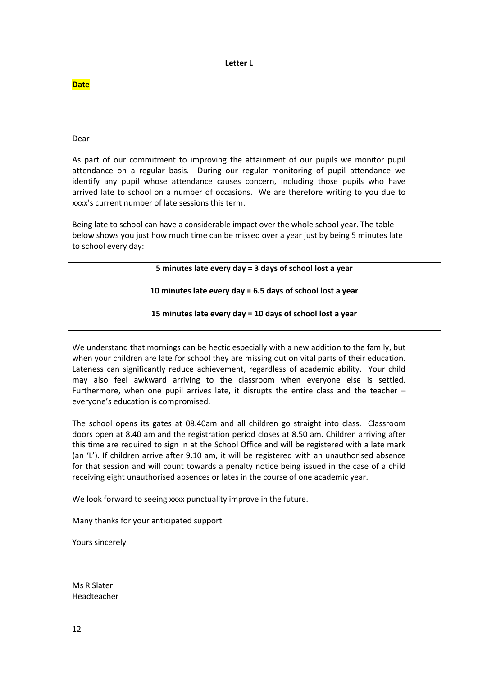#### **Letter L**

**Date**

Dear

As part of our commitment to improving the attainment of our pupils we monitor pupil attendance on a regular basis. During our regular monitoring of pupil attendance we identify any pupil whose attendance causes concern, including those pupils who have arrived late to school on a number of occasions. We are therefore writing to you due to xxxx's current number of late sessions this term.

Being late to school can have a considerable impact over the whole school year. The table below shows you just how much time can be missed over a year just by being 5 minutes late to school every day:

| 5 minutes late every day = 3 days of school lost a year    |
|------------------------------------------------------------|
| 10 minutes late every day = 6.5 days of school lost a year |
| 15 minutes late every day = 10 days of school lost a year  |

We understand that mornings can be hectic especially with a new addition to the family, but when your children are late for school they are missing out on vital parts of their education. Lateness can significantly reduce achievement, regardless of academic ability. Your child may also feel awkward arriving to the classroom when everyone else is settled. Furthermore, when one pupil arrives late, it disrupts the entire class and the teacher – everyone's education is compromised.

The school opens its gates at 08.40am and all children go straight into class. Classroom doors open at 8.40 am and the registration period closes at 8.50 am. Children arriving after this time are required to sign in at the School Office and will be registered with a late mark (an 'L'). If children arrive after 9.10 am, it will be registered with an unauthorised absence for that session and will count towards a penalty notice being issued in the case of a child receiving eight unauthorised absences or lates in the course of one academic year.

We look forward to seeing xxxx punctuality improve in the future.

Many thanks for your anticipated support.

Yours sincerely